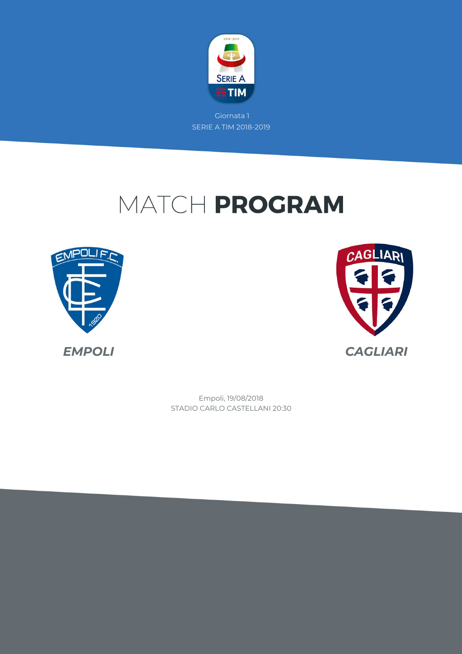

# MATCH PROGRAM





STADIO CARLO CASTELLANI 20:30 Empoli, 19/08/2018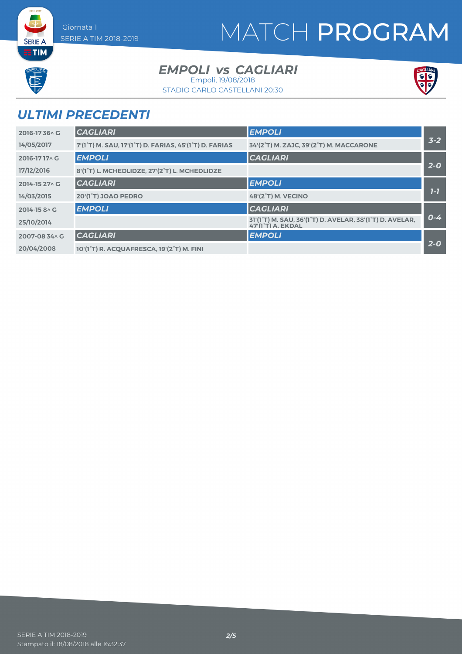# MATCH PROGRAM



**SERIE A ETIM** 

#### *EMPOLI CAGLIARI vs*

Empoli, 19/08/2018



STADIO CARLO CASTELLANI 20:30

## *ULTIMI PRECEDENTI*

| 2016-1736 AG   | <b>CAGLIARI</b>                                                                               | <b>EMPOLI</b>                                                                 |         |
|----------------|-----------------------------------------------------------------------------------------------|-------------------------------------------------------------------------------|---------|
| 14/05/2017     | 7'(1 <sup>°</sup> T) M. SAU, 17'(1 <sup>°</sup> T) D. FARIAS, 45'(1 <sup>°</sup> T) D. FARIAS | 34'(2°T) M. ZAJC, 39'(2°T) M. MACCARONE                                       | $3 - 2$ |
| 2016-1717^C    | <b>EMPOLI</b>                                                                                 | <b>CAGLIARI</b>                                                               |         |
| 17/12/2016     | 8'(1°T) L. MCHEDLIDZE, 27'(2°T) L. MCHEDLIDZE                                                 |                                                                               | $2 - 0$ |
| 2014-15 27 \ G | <b>CAGLIARI</b>                                                                               | <b>EMPOLI</b>                                                                 |         |
| 14/03/2015     | 20'(1 <sup>°</sup> T) JOAO PEDRO                                                              | <b>48'(2°T) M. VECINO</b>                                                     | $1 - 7$ |
| 2014-15 8 ^ G  | <b>EMPOLI</b>                                                                                 | <b>CAGLIARI</b>                                                               |         |
| 25/10/2014     |                                                                                               | 31'(1°T) M. SAU, 36'(1°T) D. AVELAR, 38'(1°T) D. AVELAR,<br>47'(1°T) A. EKDAL | $0 - 4$ |
| 2007-08 34^ G  | <b>CAGLIARI</b>                                                                               | <b>EMPOLI</b>                                                                 |         |
| 20/04/2008     | 10'(1°T) R. ACQUAFRESCA, 19'(2°T) M. FINI                                                     |                                                                               | $2 - 0$ |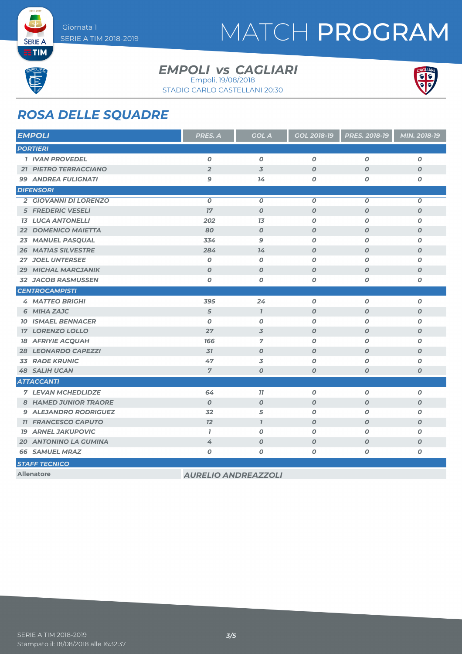

# MATCH PROGRAM



**SERIE A ETIM** 

#### *EMPOLI CAGLIARI vs* Empoli, 19/08/2018

STADIO CARLO CASTELLANI 20:30



### *ROSA DELLE SQUADRE*

| <b>EMPOLI</b>        |                              | PRES. A                    | <b>GOL A</b>     | GOL 2018-19      | PRES. 2018-19    | MIN. 2018-19     |
|----------------------|------------------------------|----------------------------|------------------|------------------|------------------|------------------|
| <b>PORTIERI</b>      |                              |                            |                  |                  |                  |                  |
|                      | <b>1 IVAN PROVEDEL</b>       | $\boldsymbol{O}$           | $\boldsymbol{0}$ | $\boldsymbol{o}$ | $\boldsymbol{O}$ | 0                |
|                      | <b>21 PIETRO TERRACCIANO</b> | $\overline{2}$             | $\overline{3}$   | $\boldsymbol{O}$ | $\boldsymbol{O}$ | $\boldsymbol{O}$ |
|                      | <b>99 ANDREA FULIGNATI</b>   | 9                          | 14               | $\boldsymbol{O}$ | O                | 0                |
|                      | <b>DIFENSORI</b>             |                            |                  |                  |                  |                  |
|                      | 2 GIOVANNI DI LORENZO        | $\boldsymbol{O}$           | $\boldsymbol{0}$ | $\boldsymbol{O}$ | $\boldsymbol{O}$ | 0                |
|                      | <b>5 FREDERIC VESELI</b>     | 17                         | $\boldsymbol{0}$ | $\boldsymbol{O}$ | $\boldsymbol{O}$ | $\boldsymbol{O}$ |
|                      | <b>13 LUCA ANTONELLI</b>     | 202                        | 13               | $\boldsymbol{O}$ | $\boldsymbol{O}$ | O                |
|                      | 22 DOMENICO MAIETTA          | 80                         | $\boldsymbol{O}$ | $\boldsymbol{O}$ | $\boldsymbol{O}$ | $\boldsymbol{o}$ |
|                      | 23 MANUEL PASQUAL            | 334                        | $\mathbf{9}$     | $\boldsymbol{O}$ | $\boldsymbol{O}$ | 0                |
|                      | <b>26 MATIAS SILVESTRE</b>   | 284                        | 14               | $\boldsymbol{O}$ | $\boldsymbol{O}$ | $\boldsymbol{o}$ |
|                      | <b>27 JOEL UNTERSEE</b>      | $\boldsymbol{O}$           | $\boldsymbol{O}$ | $\boldsymbol{O}$ | $\boldsymbol{O}$ | 0                |
| 29                   | <b>MICHAL MARCJANIK</b>      | $\boldsymbol{O}$           | $\boldsymbol{O}$ | $\boldsymbol{O}$ | $\boldsymbol{O}$ | $\boldsymbol{O}$ |
|                      | <b>32 JACOB RASMUSSEN</b>    | $\boldsymbol{O}$           | $\pmb{o}$        | $\boldsymbol{O}$ | O                | O                |
|                      | <b>CENTROCAMPISTI</b>        |                            |                  |                  |                  |                  |
|                      | <b>4 MATTEO BRIGHI</b>       | 395                        | 24               | $\boldsymbol{o}$ | $\boldsymbol{o}$ | 0                |
|                      | 6 MIHA ZAJC                  | 5                          | $\mathbf{7}$     | $\boldsymbol{O}$ | $\boldsymbol{O}$ | $\boldsymbol{O}$ |
|                      | <b>10 ISMAEL BENNACER</b>    | $\boldsymbol{O}$           | $\boldsymbol{0}$ | $\boldsymbol{O}$ | $\boldsymbol{O}$ | O                |
|                      | <b>17 LORENZO LOLLO</b>      | 27                         | 3                | $\boldsymbol{O}$ | $\boldsymbol{O}$ | O                |
|                      | <b>18 AFRIYIE ACQUAH</b>     | 166                        | $\overline{7}$   | $\boldsymbol{O}$ | 0                | 0                |
|                      | <b>28 LEONARDO CAPEZZI</b>   | 31                         | $\boldsymbol{0}$ | $\boldsymbol{O}$ | $\boldsymbol{O}$ | $\boldsymbol{O}$ |
| 33                   | <b>RADE KRUNIC</b>           | 47                         | 3                | $\boldsymbol{O}$ | $\boldsymbol{O}$ | 0                |
|                      | <b>48 SALIH UCAN</b>         | $\overline{7}$             | $\boldsymbol{O}$ | $\boldsymbol{O}$ | $\boldsymbol{O}$ | $\boldsymbol{O}$ |
|                      | <b>ATTACCANTI</b>            |                            |                  |                  |                  |                  |
|                      | <b>7 LEVAN MCHEDLIDZE</b>    | 64                         | 11               | O                | O                | 0                |
|                      | 8 HAMED JUNIOR TRAORE        | $\boldsymbol{O}$           | $\boldsymbol{O}$ | $\boldsymbol{O}$ | $\boldsymbol{O}$ | $\boldsymbol{o}$ |
|                      | <b>9 ALEJANDRO RODRIGUEZ</b> | 32                         | 5                | $\boldsymbol{O}$ | $\boldsymbol{O}$ | 0                |
|                      | <b>11 FRANCESCO CAPUTO</b>   | 12                         | $\mathbf{7}$     | $\boldsymbol{O}$ | $\boldsymbol{O}$ | $\boldsymbol{O}$ |
|                      | <b>19 ARNEL JAKUPOVIC</b>    | $\overline{I}$             | $\boldsymbol{O}$ | $\boldsymbol{O}$ | O                | 0                |
|                      | <b>20 ANTONINO LA GUMINA</b> | 4                          | $\boldsymbol{O}$ | $\boldsymbol{O}$ | $\boldsymbol{O}$ | O                |
|                      | <b>66 SAMUEL MRAZ</b>        | O                          | 0                | $\boldsymbol{o}$ | 0                | Ο                |
| <b>STAFF TECNICO</b> |                              |                            |                  |                  |                  |                  |
|                      | <b>Allenatore</b>            | <b>AURELIO ANDREAZZOLI</b> |                  |                  |                  |                  |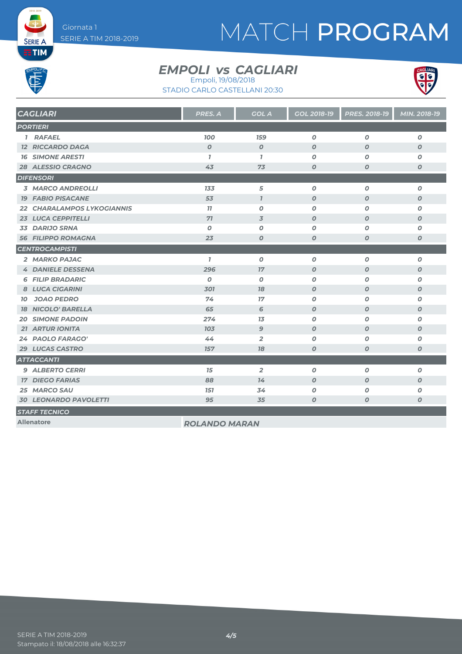# MATCH PROGRAM

**SERIE A EETIM** 

#### *EMPOLI CAGLIARI vs* Empoli, 19/08/2018

STADIO CARLO CASTELLANI 20:30



| <b>CAGLIARI</b>              | <b>PRES. A</b>       | <b>GOL A</b>     | <b>GOL 2018-19</b> | <b>PRES. 2018-19</b> | MIN. 2018-19     |
|------------------------------|----------------------|------------------|--------------------|----------------------|------------------|
| <b>PORTIERI</b>              |                      |                  |                    |                      |                  |
| 1 RAFAEL                     | <b>100</b>           | <b>159</b>       | $\boldsymbol{0}$   | $\boldsymbol{0}$     | $\boldsymbol{0}$ |
| <b>12 RICCARDO DAGA</b>      | $\overline{0}$       | $\boldsymbol{0}$ | $\boldsymbol{0}$   | $\boldsymbol{0}$     | $\boldsymbol{O}$ |
| <b>16 SIMONE ARESTI</b>      | $\mathbf{7}$         | $\mathbf{7}$     | 0                  | 0                    | 0                |
| <b>28 ALESSIO CRAGNO</b>     | 43                   | 73               | $\boldsymbol{o}$   | O                    | $\boldsymbol{o}$ |
| <b>DIFENSORI</b>             |                      |                  |                    |                      |                  |
| <b>3 MARCO ANDREOLLI</b>     | 133                  | 5                | $\boldsymbol{o}$   | $\boldsymbol{o}$     | 0                |
| <b>19 FABIO PISACANE</b>     | 53                   | $\mathbf{7}$     | $\boldsymbol{O}$   | $\boldsymbol{O}$     | $\boldsymbol{O}$ |
| 22 CHARALAMPOS LYKOGIANNIS   | 77                   | $\boldsymbol{O}$ | 0                  | 0                    | 0                |
| 23 LUCA CEPPITELLI           | 71                   | $\overline{3}$   | $\boldsymbol{O}$   | $\boldsymbol{O}$     | $\boldsymbol{O}$ |
| 33 DARIJO SRNA               | $\boldsymbol{0}$     | 0                | 0                  | 0                    | 0                |
| <b>56 FILIPPO ROMAGNA</b>    | 23                   | $\boldsymbol{0}$ | $\boldsymbol{O}$   | $\boldsymbol{O}$     | $\boldsymbol{o}$ |
| <b>CENTROCAMPISTI</b>        |                      |                  |                    |                      |                  |
| 2 MARKO PAJAC                | $\mathbf{7}$         | $\boldsymbol{o}$ | $\boldsymbol{o}$   | $\boldsymbol{O}$     | $\boldsymbol{o}$ |
| <b>4 DANIELE DESSENA</b>     | 296                  | 17               | $\boldsymbol{O}$   | $\boldsymbol{O}$     | $\boldsymbol{O}$ |
| <b>6 FILIP BRADARIC</b>      | $\boldsymbol{0}$     | 0                | 0                  | 0                    | 0                |
| 8 LUCA CIGARINI              | 301                  | 78               | $\boldsymbol{O}$   | $\boldsymbol{0}$     | $\boldsymbol{0}$ |
| <b>JOAO PEDRO</b><br>10      | 74                   | 17               | $\boldsymbol{O}$   | $\boldsymbol{O}$     | $\boldsymbol{o}$ |
| <b>18 NICOLO' BARELLA</b>    | 65                   | 6                | $\boldsymbol{O}$   | $\boldsymbol{O}$     | $\boldsymbol{O}$ |
| <b>20 SIMONE PADOIN</b>      | 274                  | 13               | 0                  | 0                    | 0                |
| <b>21 ARTUR IONITA</b>       | 103                  | $\mathbf{9}$     | $\boldsymbol{O}$   | $\boldsymbol{O}$     | $\boldsymbol{O}$ |
| 24 PAOLO FARAGO'             | 44                   | $\overline{2}$   | 0                  | 0                    | O                |
| 29 LUCAS CASTRO              | 157                  | 78               | $\boldsymbol{O}$   | $\boldsymbol{O}$     | $\boldsymbol{o}$ |
| <b>ATTACCANTI</b>            |                      |                  |                    |                      |                  |
| <b>9 ALBERTO CERRI</b>       | 15                   | $\overline{2}$   | $\boldsymbol{o}$   | O                    | $\boldsymbol{o}$ |
| <b>17 DIEGO FARIAS</b>       | 88                   | 74               | $\boldsymbol{O}$   | $\boldsymbol{O}$     | $\boldsymbol{O}$ |
| 25 MARCO SAU                 | <b>151</b>           | 34               | 0                  | 0                    | O                |
| <b>30 LEONARDO PAVOLETTI</b> | 95                   | 35               | $\boldsymbol{o}$   | O                    | O                |
| <b>STAFF TECNICO</b>         |                      |                  |                    |                      |                  |
| <b>Allenatore</b>            | <b>ROLANDO MARAN</b> |                  |                    |                      |                  |